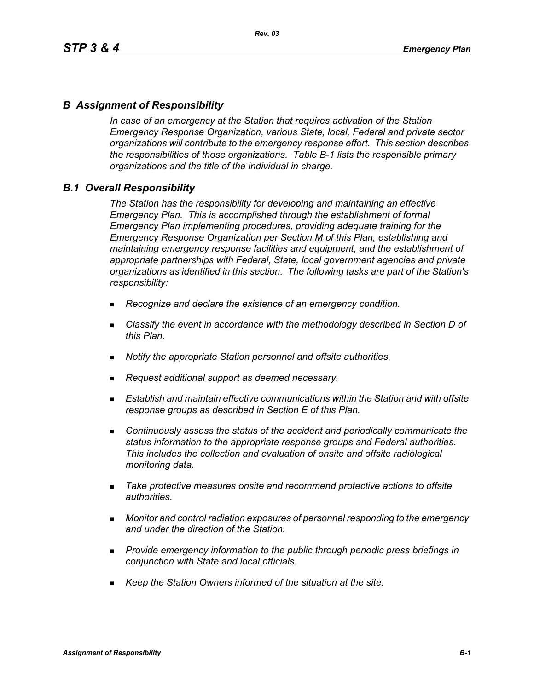### *B Assignment of Responsibility*

*In case of an emergency at the Station that requires activation of the Station Emergency Response Organization, various State, local, Federal and private sector organizations will contribute to the emergency response effort. This section describes the responsibilities of those organizations. Table B-1 lists the responsible primary organizations and the title of the individual in charge.*

### *B.1 Overall Responsibility*

*The Station has the responsibility for developing and maintaining an effective Emergency Plan. This is accomplished through the establishment of formal Emergency Plan implementing procedures, providing adequate training for the Emergency Response Organization per Section M of this Plan, establishing and maintaining emergency response facilities and equipment, and the establishment of appropriate partnerships with Federal, State, local government agencies and private organizations as identified in this section. The following tasks are part of the Station's responsibility:*

- *Recognize and declare the existence of an emergency condition.*
- *Classify the event in accordance with the methodology described in Section D of this Plan.*
- *Notify the appropriate Station personnel and offsite authorities.*
- *Request additional support as deemed necessary.*
- **Establish and maintain effective communications within the Station and with offsite** *response groups as described in Section E of this Plan.*
- *Continuously assess the status of the accident and periodically communicate the status information to the appropriate response groups and Federal authorities. This includes the collection and evaluation of onsite and offsite radiological monitoring data.*
- *Take protective measures onsite and recommend protective actions to offsite authorities.*
- *Monitor and control radiation exposures of personnel responding to the emergency and under the direction of the Station.*
- *Provide emergency information to the public through periodic press briefings in conjunction with State and local officials.*
- *Keep the Station Owners informed of the situation at the site.*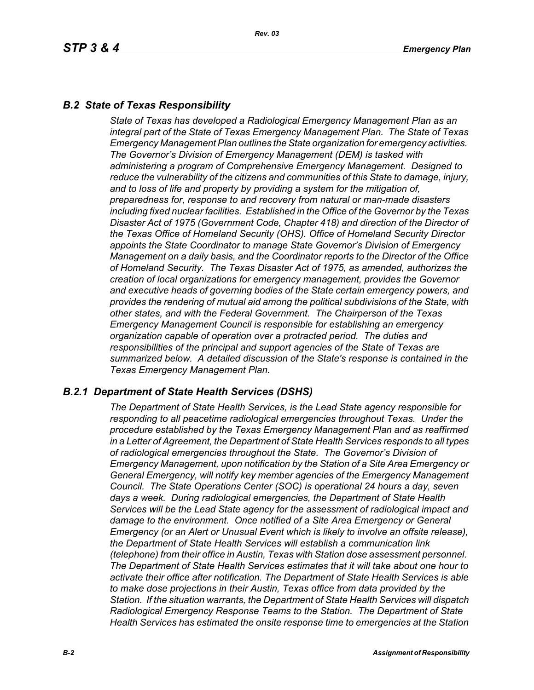### *B.2 State of Texas Responsibility*

*State of Texas has developed a Radiological Emergency Management Plan as an integral part of the State of Texas Emergency Management Plan. The State of Texas Emergency Management Plan outlines the State organization for emergency activities. The Governor's Division of Emergency Management (DEM) is tasked with administering a program of Comprehensive Emergency Management. Designed to reduce the vulnerability of the citizens and communities of this State to damage, injury, and to loss of life and property by providing a system for the mitigation of, preparedness for, response to and recovery from natural or man-made disasters including fixed nuclear facilities. Established in the Office of the Governor by the Texas Disaster Act of 1975 (Government Code, Chapter 418) and direction of the Director of the Texas Office of Homeland Security (OHS). Office of Homeland Security Director appoints the State Coordinator to manage State Governor's Division of Emergency Management on a daily basis, and the Coordinator reports to the Director of the Office of Homeland Security. The Texas Disaster Act of 1975, as amended, authorizes the creation of local organizations for emergency management, provides the Governor and executive heads of governing bodies of the State certain emergency powers, and provides the rendering of mutual aid among the political subdivisions of the State, with other states, and with the Federal Government. The Chairperson of the Texas Emergency Management Council is responsible for establishing an emergency organization capable of operation over a protracted period. The duties and responsibilities of the principal and support agencies of the State of Texas are summarized below. A detailed discussion of the State's response is contained in the Texas Emergency Management Plan.*

### *B.2.1 Department of State Health Services (DSHS)*

*The Department of State Health Services, is the Lead State agency responsible for responding to all peacetime radiological emergencies throughout Texas. Under the procedure established by the Texas Emergency Management Plan and as reaffirmed in a Letter of Agreement, the Department of State Health Services responds to all types of radiological emergencies throughout the State. The Governor's Division of Emergency Management, upon notification by the Station of a Site Area Emergency or General Emergency, will notify key member agencies of the Emergency Management Council. The State Operations Center (SOC) is operational 24 hours a day, seven days a week. During radiological emergencies, the Department of State Health Services will be the Lead State agency for the assessment of radiological impact and damage to the environment. Once notified of a Site Area Emergency or General Emergency (or an Alert or Unusual Event which is likely to involve an offsite release), the Department of State Health Services will establish a communication link (telephone) from their office in Austin, Texas with Station dose assessment personnel. The Department of State Health Services estimates that it will take about one hour to activate their office after notification. The Department of State Health Services is able to make dose projections in their Austin, Texas office from data provided by the Station. If the situation warrants, the Department of State Health Services will dispatch Radiological Emergency Response Teams to the Station. The Department of State Health Services has estimated the onsite response time to emergencies at the Station*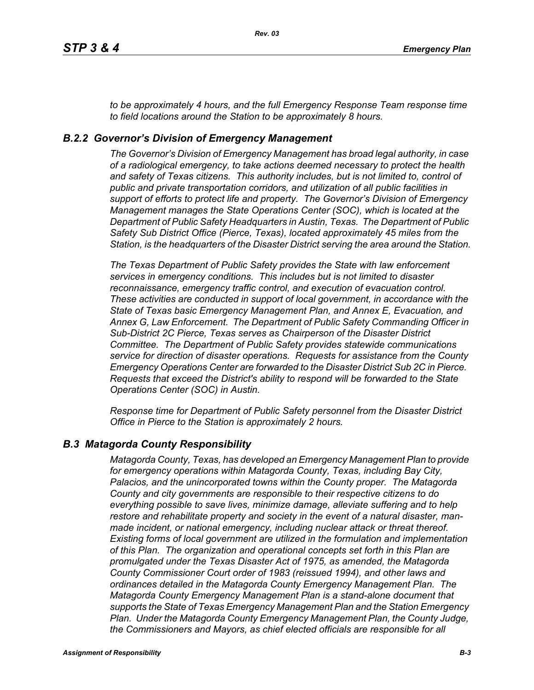*to be approximately 4 hours, and the full Emergency Response Team response time to field locations around the Station to be approximately 8 hours.*

### *B.2.2 Governor's Division of Emergency Management*

*The Governor's Division of Emergency Management has broad legal authority, in case of a radiological emergency, to take actions deemed necessary to protect the health and safety of Texas citizens. This authority includes, but is not limited to, control of public and private transportation corridors, and utilization of all public facilities in support of efforts to protect life and property. The Governor's Division of Emergency Management manages the State Operations Center (SOC), which is located at the Department of Public Safety Headquarters in Austin, Texas. The Department of Public Safety Sub District Office (Pierce, Texas), located approximately 45 miles from the Station, is the headquarters of the Disaster District serving the area around the Station.*

*The Texas Department of Public Safety provides the State with law enforcement services in emergency conditions. This includes but is not limited to disaster reconnaissance, emergency traffic control, and execution of evacuation control. These activities are conducted in support of local government, in accordance with the State of Texas basic Emergency Management Plan, and Annex E, Evacuation, and Annex G, Law Enforcement. The Department of Public Safety Commanding Officer in Sub-District 2C Pierce, Texas serves as Chairperson of the Disaster District Committee. The Department of Public Safety provides statewide communications service for direction of disaster operations. Requests for assistance from the County Emergency Operations Center are forwarded to the Disaster District Sub 2C in Pierce. Requests that exceed the District's ability to respond will be forwarded to the State Operations Center (SOC) in Austin.* 

*Response time for Department of Public Safety personnel from the Disaster District Office in Pierce to the Station is approximately 2 hours.*

#### *B.3 Matagorda County Responsibility*

*Matagorda County, Texas, has developed an Emergency Management Plan to provide for emergency operations within Matagorda County, Texas, including Bay City, Palacios, and the unincorporated towns within the County proper. The Matagorda County and city governments are responsible to their respective citizens to do everything possible to save lives, minimize damage, alleviate suffering and to help restore and rehabilitate property and society in the event of a natural disaster, manmade incident, or national emergency, including nuclear attack or threat thereof. Existing forms of local government are utilized in the formulation and implementation of this Plan. The organization and operational concepts set forth in this Plan are promulgated under the Texas Disaster Act of 1975, as amended, the Matagorda County Commissioner Court order of 1983 (reissued 1994), and other laws and ordinances detailed in the Matagorda County Emergency Management Plan. The Matagorda County Emergency Management Plan is a stand-alone document that supports the State of Texas Emergency Management Plan and the Station Emergency Plan. Under the Matagorda County Emergency Management Plan, the County Judge, the Commissioners and Mayors, as chief elected officials are responsible for all*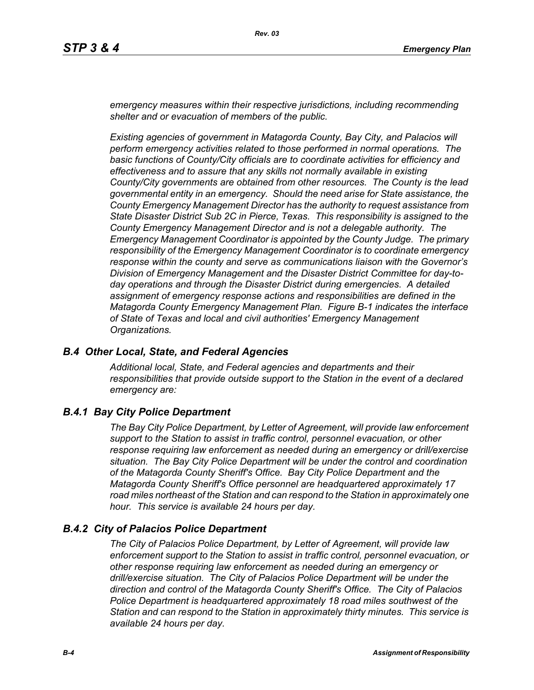*emergency measures within their respective jurisdictions, including recommending shelter and or evacuation of members of the public.* 

*Existing agencies of government in Matagorda County, Bay City, and Palacios will perform emergency activities related to those performed in normal operations. The basic functions of County/City officials are to coordinate activities for efficiency and effectiveness and to assure that any skills not normally available in existing County/City governments are obtained from other resources. The County is the lead governmental entity in an emergency. Should the need arise for State assistance, the County Emergency Management Director has the authority to request assistance from State Disaster District Sub 2C in Pierce, Texas. This responsibility is assigned to the County Emergency Management Director and is not a delegable authority. The Emergency Management Coordinator is appointed by the County Judge. The primary responsibility of the Emergency Management Coordinator is to coordinate emergency response within the county and serve as communications liaison with the Governor's Division of Emergency Management and the Disaster District Committee for day-today operations and through the Disaster District during emergencies. A detailed assignment of emergency response actions and responsibilities are defined in the Matagorda County Emergency Management Plan. Figure B-1 indicates the interface of State of Texas and local and civil authorities' Emergency Management Organizations.*

#### *B.4 Other Local, State, and Federal Agencies*

*Additional local, State, and Federal agencies and departments and their responsibilities that provide outside support to the Station in the event of a declared emergency are:*

### *B.4.1 Bay City Police Department*

*The Bay City Police Department, by Letter of Agreement, will provide law enforcement support to the Station to assist in traffic control, personnel evacuation, or other response requiring law enforcement as needed during an emergency or drill/exercise situation. The Bay City Police Department will be under the control and coordination of the Matagorda County Sheriff's Office. Bay City Police Department and the Matagorda County Sheriff's Office personnel are headquartered approximately 17 road miles northeast of the Station and can respond to the Station in approximately one hour. This service is available 24 hours per day.*

#### *B.4.2 City of Palacios Police Department*

*The City of Palacios Police Department, by Letter of Agreement, will provide law enforcement support to the Station to assist in traffic control, personnel evacuation, or other response requiring law enforcement as needed during an emergency or drill/exercise situation. The City of Palacios Police Department will be under the direction and control of the Matagorda County Sheriff's Office. The City of Palacios Police Department is headquartered approximately 18 road miles southwest of the Station and can respond to the Station in approximately thirty minutes. This service is available 24 hours per day.*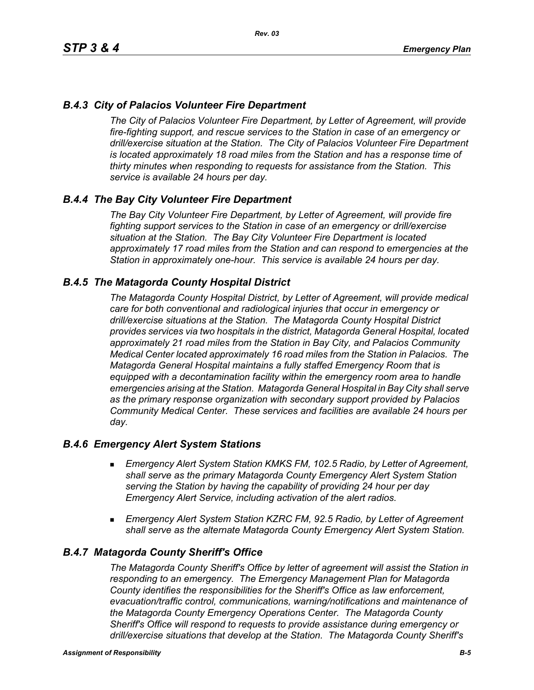### *B.4.3 City of Palacios Volunteer Fire Department*

*The City of Palacios Volunteer Fire Department, by Letter of Agreement, will provide fire-fighting support, and rescue services to the Station in case of an emergency or drill/exercise situation at the Station. The City of Palacios Volunteer Fire Department is located approximately 18 road miles from the Station and has a response time of thirty minutes when responding to requests for assistance from the Station. This service is available 24 hours per day.*

### *B.4.4 The Bay City Volunteer Fire Department*

*The Bay City Volunteer Fire Department, by Letter of Agreement, will provide fire fighting support services to the Station in case of an emergency or drill/exercise situation at the Station. The Bay City Volunteer Fire Department is located approximately 17 road miles from the Station and can respond to emergencies at the Station in approximately one-hour. This service is available 24 hours per day.*

### *B.4.5 The Matagorda County Hospital District*

*The Matagorda County Hospital District, by Letter of Agreement, will provide medical care for both conventional and radiological injuries that occur in emergency or drill/exercise situations at the Station. The Matagorda County Hospital District provides services via two hospitals in the district, Matagorda General Hospital, located approximately 21 road miles from the Station in Bay City, and Palacios Community Medical Center located approximately 16 road miles from the Station in Palacios. The Matagorda General Hospital maintains a fully staffed Emergency Room that is equipped with a decontamination facility within the emergency room area to handle emergencies arising at the Station. Matagorda General Hospital in Bay City shall serve as the primary response organization with secondary support provided by Palacios Community Medical Center. These services and facilities are available 24 hours per day.*

#### *B.4.6 Emergency Alert System Stations*

- *Emergency Alert System Station KMKS FM, 102.5 Radio, by Letter of Agreement, shall serve as the primary Matagorda County Emergency Alert System Station serving the Station by having the capability of providing 24 hour per day Emergency Alert Service, including activation of the alert radios.*
- *Emergency Alert System Station KZRC FM, 92.5 Radio, by Letter of Agreement shall serve as the alternate Matagorda County Emergency Alert System Station.*

#### *B.4.7 Matagorda County Sheriff's Office*

*The Matagorda County Sheriff's Office by letter of agreement will assist the Station in responding to an emergency. The Emergency Management Plan for Matagorda County identifies the responsibilities for the Sheriff's Office as law enforcement, evacuation/traffic control, communications, warning/notifications and maintenance of the Matagorda County Emergency Operations Center. The Matagorda County Sheriff's Office will respond to requests to provide assistance during emergency or drill/exercise situations that develop at the Station. The Matagorda County Sheriff's*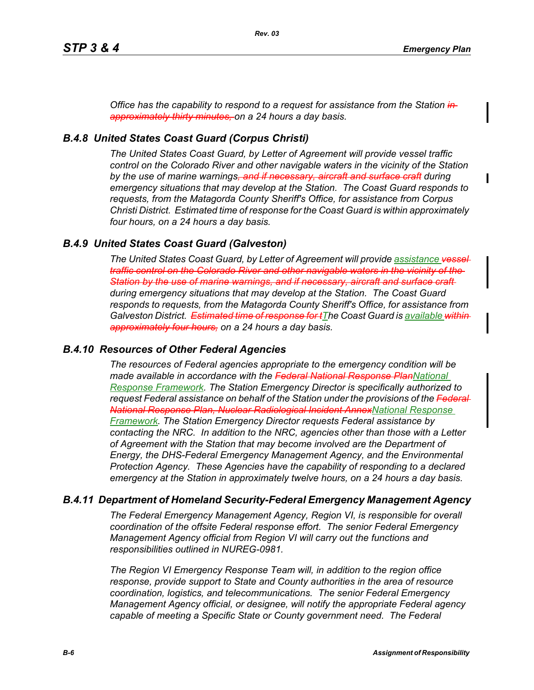*Office has the capability to respond to a request for assistance from the Station in approximately thirty minutes, on a 24 hours a day basis.*

#### *B.4.8 United States Coast Guard (Corpus Christi)*

*The United States Coast Guard, by Letter of Agreement will provide vessel traffic control on the Colorado River and other navigable waters in the vicinity of the Station by the use of marine warnings, and if necessary, aircraft and surface craft during emergency situations that may develop at the Station. The Coast Guard responds to requests, from the Matagorda County Sheriff's Office, for assistance from Corpus Christi District. Estimated time of response for the Coast Guard is within approximately four hours, on a 24 hours a day basis.*

#### *B.4.9 United States Coast Guard (Galveston)*

*The United States Coast Guard, by Letter of Agreement will provide assistance vessel traffic control on the Colorado River and other navigable waters in the vicinity of the Station by the use of marine warnings, and if necessary, aircraft and surface craft during emergency situations that may develop at the Station. The Coast Guard responds to requests, from the Matagorda County Sheriff's Office, for assistance from Galveston District.* Estimated time of response for tThe Coast Guard is available within *approximately four hours, on a 24 hours a day basis.*

#### *B.4.10 Resources of Other Federal Agencies*

*The resources of Federal agencies appropriate to the emergency condition will be made available in accordance with the Federal National Response PlanNational Response Framework. The Station Emergency Director is specifically authorized to request Federal assistance on behalf of the Station under the provisions of the Federal National Response Plan, Nuclear Radiological Incident AnnexNational Response Framework. The Station Emergency Director requests Federal assistance by contacting the NRC. In addition to the NRC, agencies other than those with a Letter of Agreement with the Station that may become involved are the Department of Energy, the DHS-Federal Emergency Management Agency, and the Environmental Protection Agency. These Agencies have the capability of responding to a declared emergency at the Station in approximately twelve hours, on a 24 hours a day basis.*

#### *B.4.11 Department of Homeland Security-Federal Emergency Management Agency*

*The Federal Emergency Management Agency, Region VI, is responsible for overall coordination of the offsite Federal response effort. The senior Federal Emergency Management Agency official from Region VI will carry out the functions and responsibilities outlined in NUREG-0981.*

*The Region VI Emergency Response Team will, in addition to the region office response, provide support to State and County authorities in the area of resource coordination, logistics, and telecommunications. The senior Federal Emergency Management Agency official, or designee, will notify the appropriate Federal agency capable of meeting a Specific State or County government need. The Federal*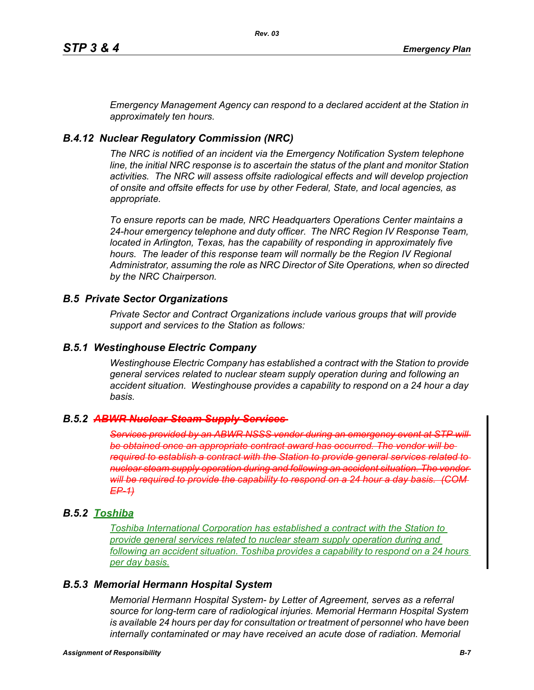*Emergency Management Agency can respond to a declared accident at the Station in approximately ten hours.*

## *B.4.12 Nuclear Regulatory Commission (NRC)*

*The NRC is notified of an incident via the Emergency Notification System telephone line, the initial NRC response is to ascertain the status of the plant and monitor Station activities. The NRC will assess offsite radiological effects and will develop projection of onsite and offsite effects for use by other Federal, State, and local agencies, as appropriate.*

*To ensure reports can be made, NRC Headquarters Operations Center maintains a 24-hour emergency telephone and duty officer. The NRC Region IV Response Team, located in Arlington, Texas, has the capability of responding in approximately five*  hours. The leader of this response team will normally be the Region IV Regional *Administrator, assuming the role as NRC Director of Site Operations, when so directed by the NRC Chairperson.*

### *B.5 Private Sector Organizations*

*Private Sector and Contract Organizations include various groups that will provide support and services to the Station as follows:*

### *B.5.1 Westinghouse Electric Company*

*Westinghouse Electric Company has established a contract with the Station to provide general services related to nuclear steam supply operation during and following an accident situation. Westinghouse provides a capability to respond on a 24 hour a day basis.* 

### *B.5.2 ABWR Nuclear Steam Supply Services*

*Services provided by an ABWR NSSS vendor during an emergency event at STP will be obtained once an appropriate contract award has occurred. The vendor will be required to establish a contract with the Station to provide general services related to nuclear steam supply operation during and following an accident situation. The vendor will be required to provide the capability to respond on a 24 hour a day basis. (COM EP-1)*

### *B.5.2 Toshiba*

*Toshiba International Corporation has established a contract with the Station to provide general services related to nuclear steam supply operation during and following an accident situation. Toshiba provides a capability to respond on a 24 hours per day basis.*

### *B.5.3 Memorial Hermann Hospital System*

*Memorial Hermann Hospital System- by Letter of Agreement, serves as a referral source for long-term care of radiological injuries. Memorial Hermann Hospital System is available 24 hours per day for consultation or treatment of personnel who have been*  internally contaminated or may have received an acute dose of radiation. Memorial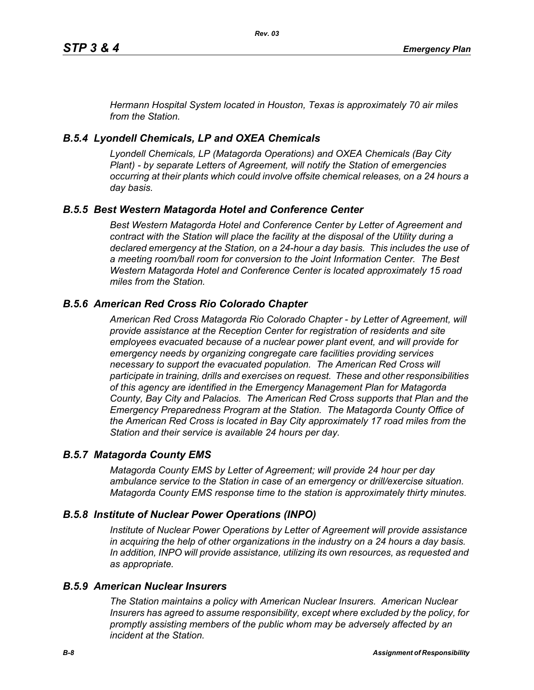*Hermann Hospital System located in Houston, Texas is approximately 70 air miles from the Station.*

### *B.5.4 Lyondell Chemicals, LP and OXEA Chemicals*

*Lyondell Chemicals, LP (Matagorda Operations) and OXEA Chemicals (Bay City Plant) - by separate Letters of Agreement, will notify the Station of emergencies occurring at their plants which could involve offsite chemical releases, on a 24 hours a day basis.*

## *B.5.5 Best Western Matagorda Hotel and Conference Center*

*Best Western Matagorda Hotel and Conference Center by Letter of Agreement and contract with the Station will place the facility at the disposal of the Utility during a declared emergency at the Station, on a 24-hour a day basis. This includes the use of a meeting room/ball room for conversion to the Joint Information Center. The Best Western Matagorda Hotel and Conference Center is located approximately 15 road miles from the Station.*

## *B.5.6 American Red Cross Rio Colorado Chapter*

*American Red Cross Matagorda Rio Colorado Chapter - by Letter of Agreement, will provide assistance at the Reception Center for registration of residents and site employees evacuated because of a nuclear power plant event, and will provide for emergency needs by organizing congregate care facilities providing services necessary to support the evacuated population. The American Red Cross will participate in training, drills and exercises on request. These and other responsibilities of this agency are identified in the Emergency Management Plan for Matagorda County, Bay City and Palacios. The American Red Cross supports that Plan and the Emergency Preparedness Program at the Station. The Matagorda County Office of the American Red Cross is located in Bay City approximately 17 road miles from the Station and their service is available 24 hours per day.*

### *B.5.7 Matagorda County EMS*

*Matagorda County EMS by Letter of Agreement; will provide 24 hour per day ambulance service to the Station in case of an emergency or drill/exercise situation. Matagorda County EMS response time to the station is approximately thirty minutes.*

### *B.5.8 Institute of Nuclear Power Operations (INPO)*

*Institute of Nuclear Power Operations by Letter of Agreement will provide assistance in acquiring the help of other organizations in the industry on a 24 hours a day basis. In addition, INPO will provide assistance, utilizing its own resources, as requested and as appropriate.*

### *B.5.9 American Nuclear Insurers*

*The Station maintains a policy with American Nuclear Insurers. American Nuclear Insurers has agreed to assume responsibility, except where excluded by the policy, for promptly assisting members of the public whom may be adversely affected by an incident at the Station.*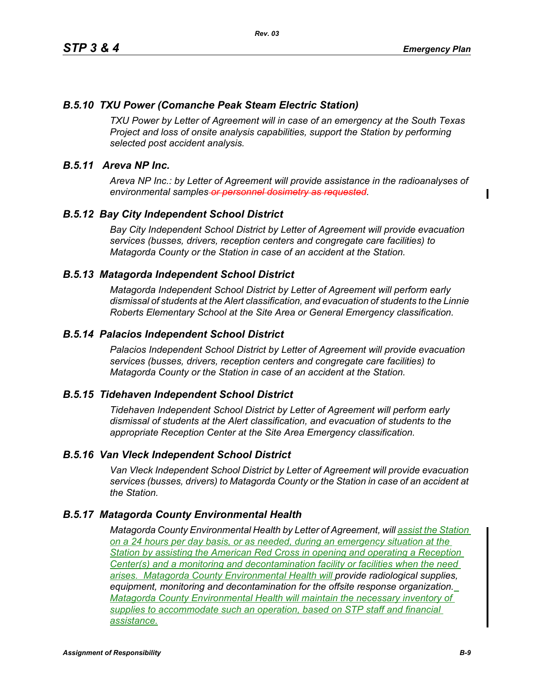Π

### *B.5.10 TXU Power (Comanche Peak Steam Electric Station)*

*TXU Power by Letter of Agreement will in case of an emergency at the South Texas Project and loss of onsite analysis capabilities, support the Station by performing selected post accident analysis.*

### *B.5.11 Areva NP Inc.*

*Areva NP Inc.: by Letter of Agreement will provide assistance in the radioanalyses of environmental samples or personnel dosimetry as requested.*

### *B.5.12 Bay City Independent School District*

*Bay City Independent School District by Letter of Agreement will provide evacuation services (busses, drivers, reception centers and congregate care facilities) to Matagorda County or the Station in case of an accident at the Station.*

### *B.5.13 Matagorda Independent School District*

*Matagorda Independent School District by Letter of Agreement will perform early dismissal of students at the Alert classification, and evacuation of students to the Linnie Roberts Elementary School at the Site Area or General Emergency classification.*

### *B.5.14 Palacios Independent School District*

*Palacios Independent School District by Letter of Agreement will provide evacuation services (busses, drivers, reception centers and congregate care facilities) to Matagorda County or the Station in case of an accident at the Station.*

#### *B.5.15 Tidehaven Independent School District*

*Tidehaven Independent School District by Letter of Agreement will perform early dismissal of students at the Alert classification, and evacuation of students to the appropriate Reception Center at the Site Area Emergency classification.*

#### *B.5.16 Van Vleck Independent School District*

*Van Vleck Independent School District by Letter of Agreement will provide evacuation services (busses, drivers) to Matagorda County or the Station in case of an accident at the Station.*

#### *B.5.17 Matagorda County Environmental Health*

*Matagorda County Environmental Health by Letter of Agreement, will assist the Station on a 24 hours per day basis, or as needed, during an emergency situation at the Station by assisting the American Red Cross in opening and operating a Reception Center(s) and a monitoring and decontamination facility or facilities when the need arises. Matagorda County Environmental Health will provide radiological supplies, equipment, monitoring and decontamination for the offsite response organization. Matagorda County Environmental Health will maintain the necessary inventory of supplies to accommodate such an operation, based on STP staff and financial assistance.*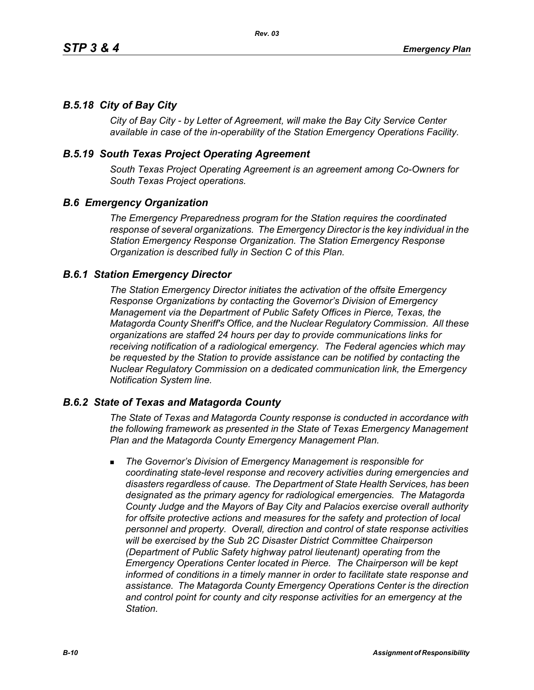## *B.5.18 City of Bay City*

*City of Bay City - by Letter of Agreement, will make the Bay City Service Center available in case of the in-operability of the Station Emergency Operations Facility.*

### *B.5.19 South Texas Project Operating Agreement*

*South Texas Project Operating Agreement is an agreement among Co-Owners for South Texas Project operations.*

### *B.6 Emergency Organization*

*The Emergency Preparedness program for the Station requires the coordinated response of several organizations. The Emergency Director is the key individual in the Station Emergency Response Organization. The Station Emergency Response Organization is described fully in Section C of this Plan.*

### *B.6.1 Station Emergency Director*

*The Station Emergency Director initiates the activation of the offsite Emergency Response Organizations by contacting the Governor's Division of Emergency Management via the Department of Public Safety Offices in Pierce, Texas, the Matagorda County Sheriff's Office, and the Nuclear Regulatory Commission. All these organizations are staffed 24 hours per day to provide communications links for receiving notification of a radiological emergency. The Federal agencies which may be requested by the Station to provide assistance can be notified by contacting the Nuclear Regulatory Commission on a dedicated communication link, the Emergency Notification System line.*

### *B.6.2 State of Texas and Matagorda County*

*The State of Texas and Matagorda County response is conducted in accordance with the following framework as presented in the State of Texas Emergency Management Plan and the Matagorda County Emergency Management Plan.*

 *The Governor's Division of Emergency Management is responsible for coordinating state-level response and recovery activities during emergencies and disasters regardless of cause. The Department of State Health Services, has been designated as the primary agency for radiological emergencies. The Matagorda County Judge and the Mayors of Bay City and Palacios exercise overall authority*  for offsite protective actions and measures for the safety and protection of local *personnel and property. Overall, direction and control of state response activities will be exercised by the Sub 2C Disaster District Committee Chairperson (Department of Public Safety highway patrol lieutenant) operating from the Emergency Operations Center located in Pierce. The Chairperson will be kept informed of conditions in a timely manner in order to facilitate state response and assistance. The Matagorda County Emergency Operations Center is the direction and control point for county and city response activities for an emergency at the Station.*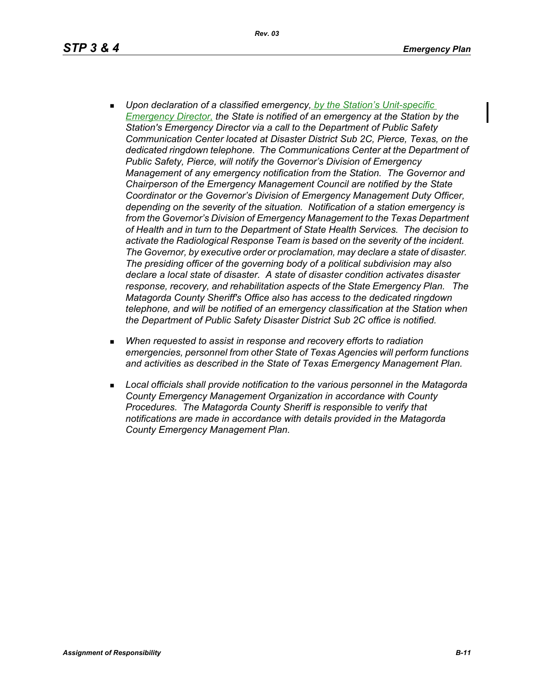*Rev. 03*

- *Upon declaration of a classified emergency, by the Station's Unit-specific Emergency Director, the State is notified of an emergency at the Station by the Station's Emergency Director via a call to the Department of Public Safety Communication Center located at Disaster District Sub 2C, Pierce, Texas, on the dedicated ringdown telephone. The Communications Center at the Department of Public Safety, Pierce, will notify the Governor's Division of Emergency Management of any emergency notification from the Station. The Governor and Chairperson of the Emergency Management Council are notified by the State Coordinator or the Governor's Division of Emergency Management Duty Officer, depending on the severity of the situation. Notification of a station emergency is from the Governor's Division of Emergency Management to the Texas Department of Health and in turn to the Department of State Health Services. The decision to activate the Radiological Response Team is based on the severity of the incident. The Governor, by executive order or proclamation, may declare a state of disaster. The presiding officer of the governing body of a political subdivision may also declare a local state of disaster. A state of disaster condition activates disaster response, recovery, and rehabilitation aspects of the State Emergency Plan. The Matagorda County Sheriff's Office also has access to the dedicated ringdown telephone, and will be notified of an emergency classification at the Station when the Department of Public Safety Disaster District Sub 2C office is notified.*
- *When requested to assist in response and recovery efforts to radiation emergencies, personnel from other State of Texas Agencies will perform functions and activities as described in the State of Texas Emergency Management Plan.*
- *Local officials shall provide notification to the various personnel in the Matagorda County Emergency Management Organization in accordance with County Procedures. The Matagorda County Sheriff is responsible to verify that notifications are made in accordance with details provided in the Matagorda County Emergency Management Plan.*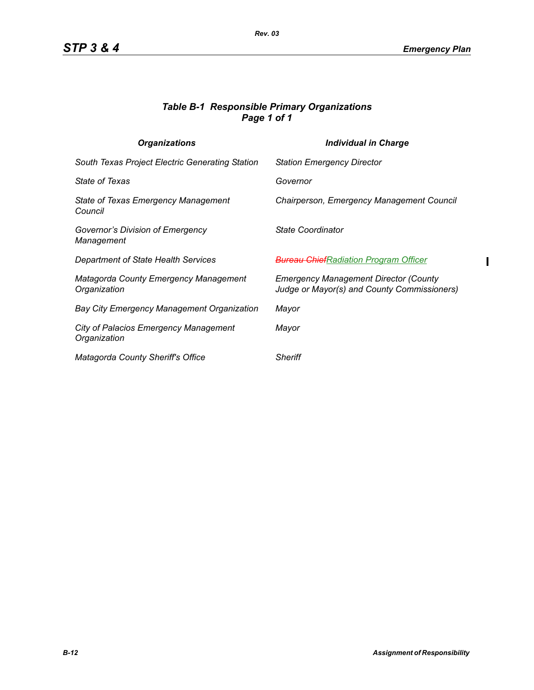$\blacksquare$ 

### *Table B-1 Responsible Primary Organizations Page 1 of 1*

| <b>Organizations</b>                                         | Individual in Charge                                                                        |
|--------------------------------------------------------------|---------------------------------------------------------------------------------------------|
| South Texas Project Electric Generating Station              | <b>Station Emergency Director</b>                                                           |
| <i>State of Texas</i>                                        | Governor                                                                                    |
| <b>State of Texas Emergency Management</b><br>Council        | Chairperson, Emergency Management Council                                                   |
| Governor's Division of Emergency<br>Management               | State Coordinator                                                                           |
| Department of State Health Services                          | <del>Bureau Chief</del> Radiation Program Officer                                           |
| Matagorda County Emergency Management<br>Organization        | <b>Emergency Management Director (County</b><br>Judge or Mayor(s) and County Commissioners) |
| <b>Bay City Emergency Management Organization</b>            | Mayor                                                                                       |
| <b>City of Palacios Emergency Management</b><br>Organization | Mayor                                                                                       |
| <b>Matagorda County Sheriff's Office</b>                     | <b>Sheriff</b>                                                                              |